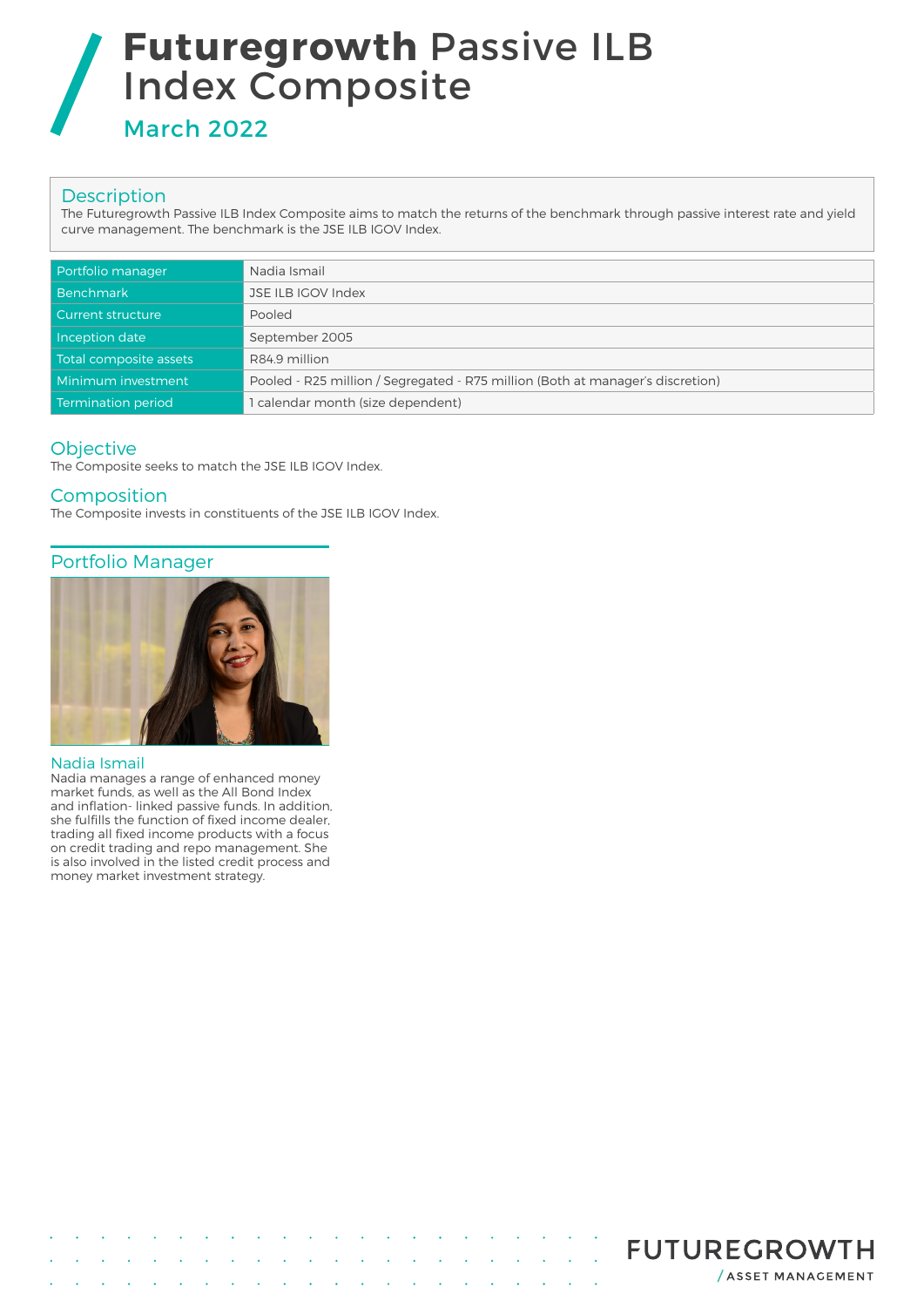# **Futuregrowth** Passive ILB Index Composite

March 2022

## **Description**

The Futuregrowth Passive ILB Index Composite aims to match the returns of the benchmark through passive interest rate and yield curve management. The benchmark is the JSE ILB IGOV Index.

| Portfolio manager        | Nadia Ismail                                                                   |
|--------------------------|--------------------------------------------------------------------------------|
| <b>Benchmark</b>         | JSE ILB IGOV Index                                                             |
| <b>Current structure</b> | Pooled                                                                         |
| Inception date           | September 2005                                                                 |
| Total composite assets   | R84.9 million                                                                  |
| Minimum investment       | Pooled - R25 million / Segregated - R75 million (Both at manager's discretion) |
| Termination period       | 1 calendar month (size dependent)                                              |

## **Objective**

The Composite seeks to match the JSE ILB IGOV Index.

**Composition** 

The Composite invests in constituents of the JSE ILB IGOV Index.

## Portfolio Manager



### Nadia Ismail

Nadia manages a range of enhanced money market funds, as well as the All Bond Index and inflation- linked passive funds. In addition, she fulfills the function of fixed income dealer, trading all fixed income products with a focus on credit trading and repo management. She is also involved in the listed credit process and money market investment strategy.